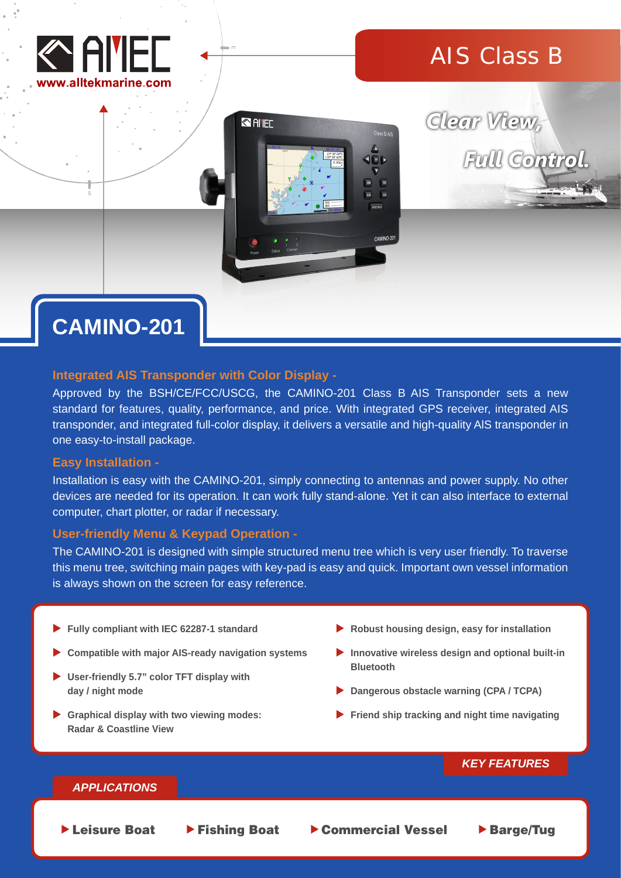

## AIS Class B



# Clear View, Full Control.

## **CAMINO-201**

#### **Integrated AIS Transponder with Color Display -**

Approved by the BSH/CE/FCC/USCG, the CAMINO-201 Class B AIS Transponder sets a new standard for features, quality, performance, and price. With integrated GPS receiver, integrated AIS transponder, and integrated full-color display, it delivers a versatile and high-quality AlS transponder in one easy-to-install package.

#### **Easy Installation -**

Installation is easy with the CAMINO-201, simply connecting to antennas and power supply. No other devices are needed for its operation. It can work fully stand-alone. Yet it can also interface to external computer, chart plotter, or radar if necessary.

#### **User-friendly Menu & Keypad Operation -**

The CAMINO-201 is designed with simple structured menu tree which is very user friendly. To traverse this menu tree, switching main pages with key-pad is easy and quick. Important own vessel information is always shown on the screen for easy reference.

- **Fully compliant with IEC 62287-1 standard**
- **Compatible with major AIS-ready navigation systems**
- **User-friendly 5.7" color TFT display with day / night mode**
- **Graphical display with two viewing modes: Radar & Coastline View**
- **Robust housing design, easy for installation**
- **Innovative wireless design and optional built-in Bluetooth**
- **Dangerous obstacle warning (CPA / TCPA)**
- **Friend ship tracking and night time navigating**

#### *KEY FEATURES*

#### *APPLICATIONS*

▶ Leisure Boat ▶ Fishing Boat ▶ Commercial Vessel ▶ Barge/Tug